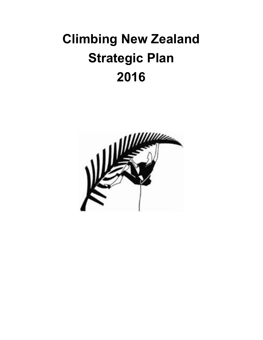# **Climbing New Zealand Strategic Plan 2016**

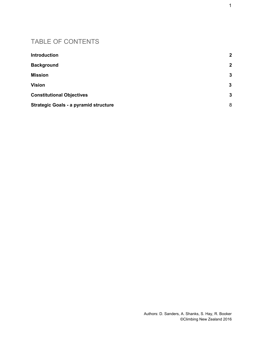#### TABLE OF CONTENTS

| <b>Introduction</b>                          | $\overline{2}$ |
|----------------------------------------------|----------------|
| <b>Background</b>                            | $\mathbf{2}$   |
| <b>Mission</b>                               | $\mathbf{3}$   |
| <b>Vision</b>                                | $\mathbf{3}$   |
| <b>Constitutional Objectives</b>             | 3              |
| <b>Strategic Goals - a pyramid structure</b> | 8              |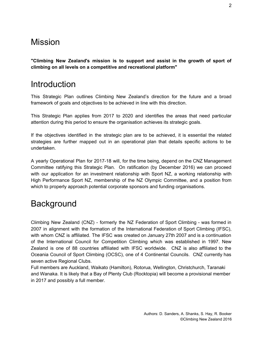#### **Mission**

**"Climbing New Zealand's mission is to support and assist in the growth of sport of climbing on all levels on a competitive and recreational platform"**

#### <span id="page-2-0"></span>**Introduction**

This Strategic Plan outlines Climbing New Zealand's direction for the future and a broad framework of goals and objectives to be achieved in line with this direction.

This Strategic Plan applies from 2017 to 2020 and identifies the areas that need particular attention during this period to ensure the organisation achieves its strategic goals.

If the objectives identified in the strategic plan are to be achieved, it is essential the related strategies are further mapped out in an operational plan that details specific actions to be undertaken.

A yearly Operational Plan for 2017-18 will, for the time being, depend on the CNZ Management Committee ratifying this Strategic Plan. On ratification (by December 2016) we can proceed with our application for an investment relationship with Sport NZ, a working relationship with High Performance Sport NZ, membership of the NZ Olympic Committee, and a position from which to properly approach potential corporate sponsors and funding organisations.

## <span id="page-2-1"></span>**Background**

Climbing New Zealand (CNZ) - formerly the NZ Federation of Sport Climbing - was formed in 2007 in alignment with the formation of the International Federation of Sport Climbing (IFSC), with whom CNZ is affiliated. The IFSC was created on January 27th 2007 and is a continuation of the International Council for Competition Climbing which was established in 1997. New Zealand is one of 88 countries affiliated with IFSC worldwide. CNZ is also affiliated to the Oceania Council of Sport Climbing (OCSC), one of 4 Continental Councils. CNZ currently has seven active Regional Clubs.

Full members are Auckland, Waikato (Hamilton), Rotorua, Wellington, Christchurch, Taranaki and Wanaka. It is likely that a Bay of Plenty Club (Rocktopia) will become a provisional member in 2017 and possibly a full member.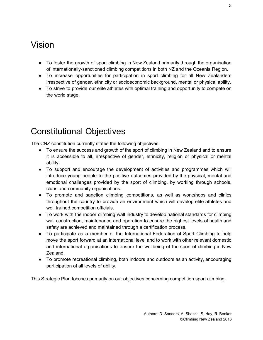## <span id="page-3-0"></span>Vision

- To foster the growth of sport climbing in New Zealand primarily through the organisation of internationally-sanctioned climbing competitions in both NZ and the Oceania Region.
- To increase opportunities for participation in sport climbing for all New Zealanders irrespective of gender, ethnicity or socioeconomic background, mental or physical ability.
- To strive to provide our elite athletes with optimal training and opportunity to compete on the world stage.

## <span id="page-3-1"></span>Constitutional Objectives

The CNZ constitution currently states the following objectives:

- To ensure the success and growth of the sport of climbing in New Zealand and to ensure it is accessible to all, irrespective of gender, ethnicity, religion or physical or mental ability.
- To support and encourage the development of activities and programmes which will introduce young people to the positive outcomes provided by the physical, mental and emotional challenges provided by the sport of climbing, by working through schools, clubs and community organisations.
- To promote and sanction climbing competitions, as well as workshops and clinics throughout the country to provide an environment which will develop elite athletes and well trained competition officials.
- To work with the indoor climbing wall industry to develop national standards for climbing wall construction, maintenance and operation to ensure the highest levels of health and safety are achieved and maintained through a certification process.
- To participate as a member of the International Federation of Sport Climbing to help move the sport forward at an international level and to work with other relevant domestic and international organisations to ensure the wellbeing of the sport of climbing in New Zealand.
- To promote recreational climbing, both indoors and outdoors as an activity, encouraging participation of all levels of ability.

This Strategic Plan focuses primarily on our objectives concerning competition sport climbing.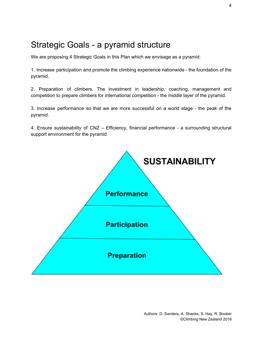#### <span id="page-4-0"></span>Strategic Goals - a pyramid structure

We are proposing 4 Strategic Goals in this Plan which we envisage as a pyramid:

1. Increase participation and promote the climbing experience nationwide - the foundation of the pyramid.

2. Preparation of climbers. The investment in leadership, coaching, management and competition to prepare climbers for international competition - the middle layer of the pyramid.

3. Increase performance so that we are more successful on a world stage - the peak of the pyramid.

4. Ensure sustainability of CNZ – Efficiency, financial performance - a surrounding structural support environment for the pyramid.

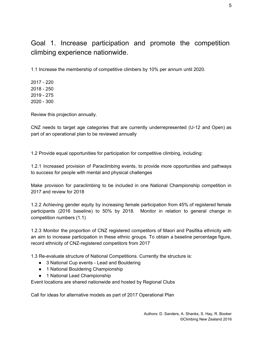Goal 1. Increase participation and promote the competition climbing experience nationwide.

1.1 Increase the membership of competitive climbers by 10% per annum until 2020.

Review this projection annually.

CNZ needs to target age categories that are currently underrepresented (U-12 and Open) as part of an operational plan to be reviewed annually

1.2 Provide equal opportunities for participation for competitive climbing, including:

1.2.1 Increased provision of Paraclimbing events, to provide more opportunities and pathways to success for people with mental and physical challenges

Make provision for paraclimbing to be included in one National Championship competition in 2017 and review for 2018

1.2.2 Achieving gender equity by increasing female participation from 45% of registered female participants (2016 baseline) to 50% by 2018. Monitor in relation to general change in competition numbers (1.1)

1.2.3 Monitor the proportion of CNZ registered competitors of Maori and Pasifika ethnicity with an aim to increase participation in these ethnic groups. To obtain a baseline percentage figure, record ethnicity of CNZ-registered competitors from 2017

1.3 Re-evaluate structure of National Competitions. Currently the structure is:

- 3 National Cup events Lead and Bouldering
- 1 National Bouldering Championship
- 1 National Lead Championship

Event locations are shared nationwide and hosted by Regional Clubs

Call for ideas for alternative models as part of 2017 Operational Plan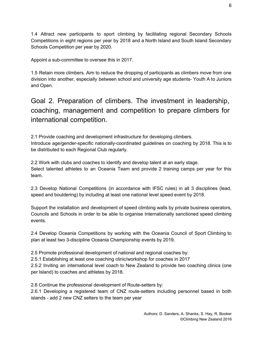1.4 Attract new participants to sport climbing by facilitating regional Secondary Schools Competitions in eight regions per year by 2018 and a North Island and South Island Secondary Schools Competition per year by 2020.

Appoint a sub-committee to oversee this in 2017.

1.5 Retain more climbers. Aim to reduce the dropping of participants as climbers move from one division into another, especially between school and university age students- Youth A to Juniors and Open.

Goal 2. Preparation of climbers. The investment in leadership, coaching, management and competition to prepare climbers for international competition.

2.1 Provide coaching and development infrastructure for developing climbers. Introduce age/gender-specific nationally-coordinated guidelines on coaching by 2018. This is to be distributed to each Regional Club regularly.

2.2 Work with clubs and coaches to identify and develop talent at an early stage. Select talented athletes to an Oceania Team and provide 2 training camps per year for this team.

2.3 Develop National Competitions (in accordance with IFSC rules) in all 3 disciplines (lead, speed and bouldering) by including at least one national level speed event by 2018.

Support the installation and development of speed climbing walls by private business operators, Councils and Schools in order to be able to organise Internationally sanctioned speed climbing events.

2.4 Develop Oceania Competitions by working with the Oceania Council of Sport Climbing to plan at least two 3-discipline Oceania Championship events by 2019.

2.5 Promote professional development of national and regional coaches by:

2.5.1 Establishing at least one coaching clinic/workshop for coaches in 2017

2.5.2 Inviting an international level coach to New Zealand to provide two coaching clinics (one per Island) to coaches and athletes by 2018.

2.6 Continue the professional development of Route-setters by:

2.6.1 Developing a registered team of CNZ route-setters including personnel based in both islands - add 2 new CNZ setters to the team per year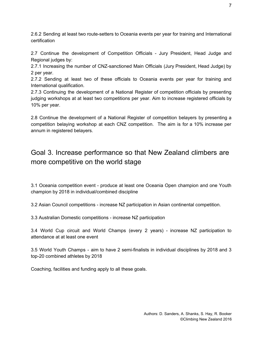2.6.2 Sending at least two route-setters to Oceania events per year for training and International certification

2.7 Continue the development of Competition Officials - Jury President, Head Judge and Regional judges by:

2.7.1 Increasing the number of CNZ-sanctioned Main Officials (Jury President, Head Judge) by 2 per year.

2.7.2 Sending at least two of these officials to Oceania events per year for training and International qualification.

2.7.3 Continuing the development of a National Register of competition officials by presenting judging workshops at at least two competitions per year. Aim to increase registered officials by 10% per year.

2.8 Continue the development of a National Register of competition belayers by presenting a competition belaying workshop at each CNZ competition. The aim is for a 10% increase per annum in registered belayers.

#### Goal 3. Increase performance so that New Zealand climbers are more competitive on the world stage

3.1 Oceania competition event - produce at least one Oceania Open champion and one Youth champion by 2018 in individual/combined discipline

3.2 Asian Council competitions - increase NZ participation in Asian continental competition.

3.3 Australian Domestic competitions - increase NZ participation

3.4 World Cup circuit and World Champs (every 2 years) - increase NZ participation to attendance at at least one event

3.5 World Youth Champs - aim to have 2 semi-finalists in individual disciplines by 2018 and 3 top-20 combined athletes by 2018

Coaching, facilities and funding apply to all these goals.